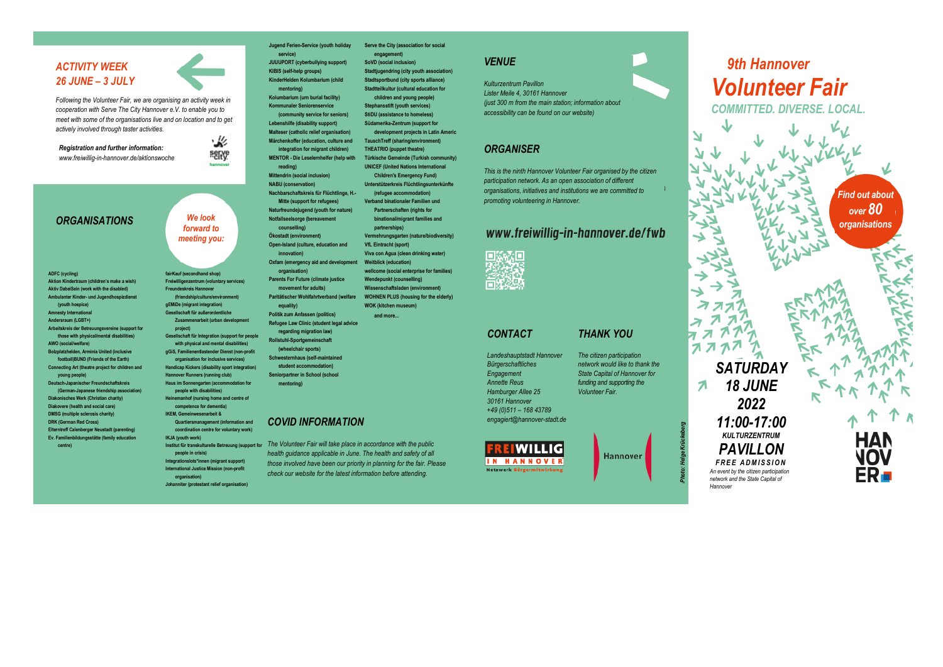# *ACTIVITY WEEK 26 JUNE – 3 JULY*

*Following the Volunteer Fair, we are organising an activity week in cooperation with Serve The City Hannover e.V. to enable you to meet with some of the organisations live and on location and to get actively involved through taster activities.*

*Registration and further information: www.freiwillig-in-hannover.de/aktionswoche*

#### *ORGANISATIONS*

**ADFC (cycling) Aktion Kindertraum (children's make a wish) Aktiv DabeiSein (work with the disabled) Ambulanter Kinder- und Jugendhospizdiens (youth hospice) Amnesty International Andersraum (LGBT+)**

**Arbeitskreis der Betreuungsvereine (support for those with physical/mental disabilities) AWO (social/welfare) Bolzplatzhelden, Arminia United (inclusive football)BUND (Friends of the Earth) Connecting Art (theatre project for children and young people) Deutsch-Japanischer Freundschaftskreis (German-Japanese friendship association) Diakonisches Werk (Christian charity) Diakovere (health and social care) DMSG (multiple sclerosis charity)**

**DRK (German Red Cross) Elterntreff Calenberger Neustadt (parenting) Ev. Familienbildungsstätte (family education centre)**

必 **Märchenkoffer (education, culture and**  serve **MENTOR - Die Leselernhelfer (help with** 

> **NABU (conservation) Nachbarschaftskreis für Flüchtlinge, H.- Mitte (support for refugees) Naturfreundejugend (youth for nature) Notfallseelsorge (bereavement counselling)**

*forward to meeting you:*

*We look* 

**fairKauf (secondhand shop)**

**Freundeskreis Hannover (friendship/culture/environment) gEMiDe (migrant integration) Gesellschaft für außerordentliche Zusammenarbeit (urban development** 

**project)**

**IKJA (youth work) people in crisis) Integrationslots\*innen (migrant support) International Justice Mission (non-profit organisation) Johanniter (protestant relief organisation)**

**with physical and mental disabilities) gGiS, Familienentlastender Dienst (non-profit organisation for inclusive services) Handicap Kickers (disability sport integration) Hannover Runners (running club) Haus im Sonnengarten (accommodation for people with disabilities) Heinemanhof (nursing home and centre of competence for dementia) IKEM, Gemeinwesenarbeit & Quartiersmanagement (information and coordination centre for voluntary work)**

**Freiwilligenzentrum (voluntary services) innovation) Oxfam (emergency aid and development organisation) Parents For Future (climate justice movement for adults)**

**Paritätischer Wohlfahrtverband (welfare equality) Politik zum Anfassen (politics) Refugee Law Clinic (student legal advice** 

**Ökostadt (environment) Open-Island (culture, education and** 

**Jugend Ferien-Service (youth holiday** 

**JUUUPORT (cyberbullying support) KIBIS (self-help groups) KinderHelden Kolumbarium (child mentoring) Kolumbarium (urn burial facility) Kommunaler Seniorenservice (community service for seniors) Lebenshilfe (disability support) Malteser (catholic relief organisation)**

**integration for migrant children)**

**service)**

**reading) Mittendrin (social inclusion)**

**Gesellschaft für Integration (support for people regarding migration law) Rollstuhl-Sportgemeinschaft (wheelchair sports) Schwesternhaus (self-maintained** 

> **student accommodation) Seniorpartner in School (school mentoring)**

## *COVID INFORMATION*

*The Volunteer Fair will take place in accordance with the public*  **Institut für transkulturelle Betreuung (support for**  *health guidance applicable in June. The health and safety of all those involved have been our priority in planning for the fair. Please check our website for the latest information before attending.*

**Stadtjugendring (city youth association)** *VENUE*

**Serve the City (association for social engagement) SoVD (social inclusion)**

**Stadtsportbund (city sports alliance) Stadtteilkultur (cultural education for children and young people) Stephansstift (youth services) StiDU (assistance to homeless) Südamerika-Zentrum (support for development projects in Latin America) TauschTreff (sharing/environment) THEATRIO (puppet theatre) Türkische Gemeinde (Turkish community) UNICEF (United Nations International Children's Emergency Fund) Unterstützerkreis Flüchtlingsunterkünfte (refugee accommodation) Verband binationaler Familien und Partnerschaften (rights for binational/migrant families and partnerships) Vermehrungsgarten (nature/biodiversity)**

**VfL Eintracht (sport) Viva con Agua (clean drinking water) Weitblick (education)**

**wellcome (social enterprise for families) Wendepunkt (counselling) Wissenschaftsladen (environment) WOHNEN PLUS (housing for the elderly) WOK (kitchen museum) and more...**

*Kulturzentrum Pavillon Lister Meile 4, 30161 Hannover (just 300 m from the main station; information about accessibility can be found on our website)*

# *ORGANISER*

*This is the ninth Hannover Volunteer Fair organised by the citizen participation network. As an open association of different organisations, initiatives and institutions we are committed to promoting volunteering in Hannover.*

# www.freiwillig-in-hannover.de/fwb



# *CONTACT*

# *THANK YOU*

*Landeshauptstadt Hannover Bürgerschaftliches Engagement Annette Reus Hamburger Allee 25 30161 Hannover*

*+49 (0)511 – 168 43789 engagiert@hannover-stadt.de*



*The citizen participation network would like to thank the State Capital of Hannover for funding and supporting the Volunteer Fair.* 

Hannover

*Photo: Helge Krückeberg*

*Hannover*